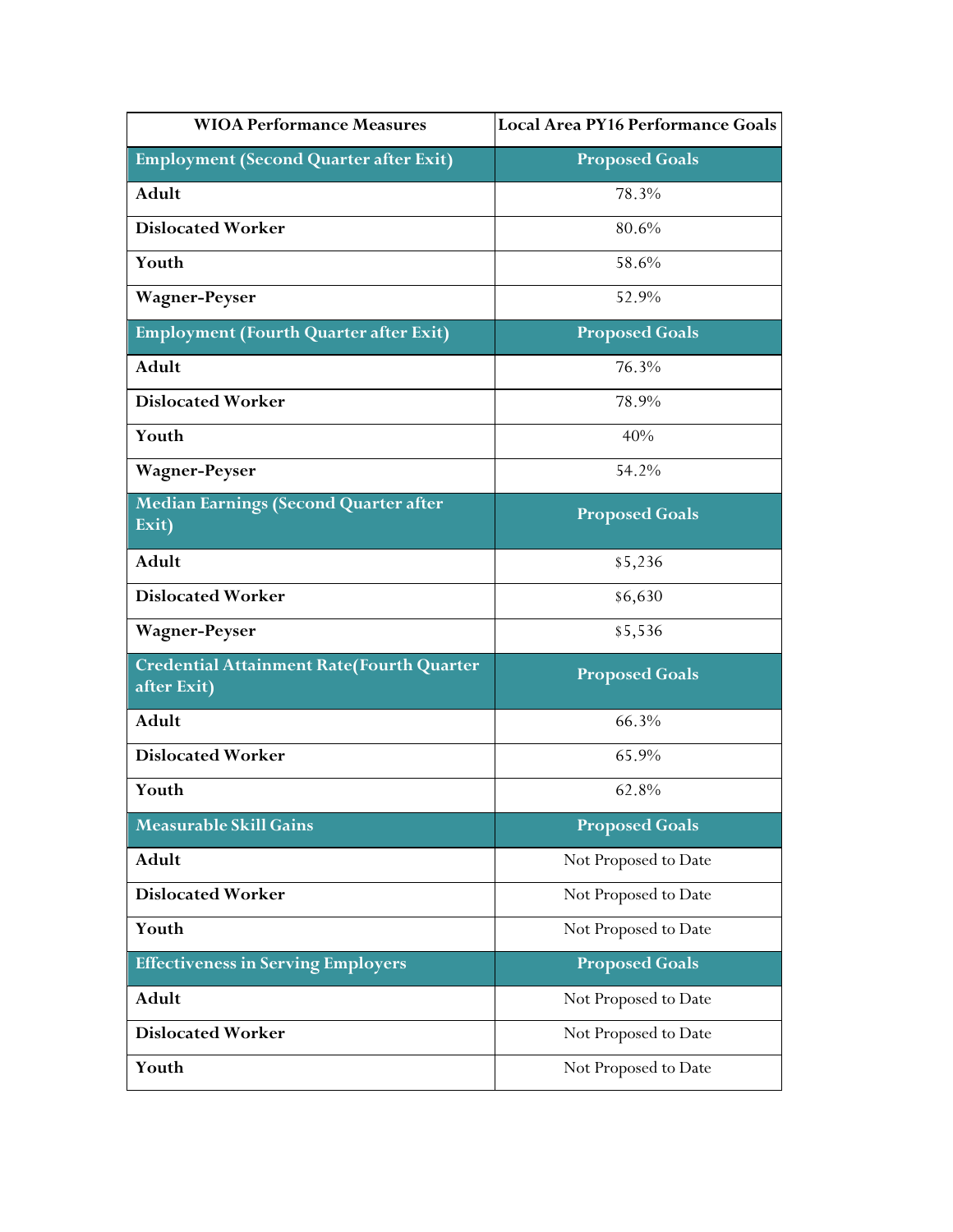| <b>WIOA Performance Measures</b>                                | Local Area PY16 Performance Goals |
|-----------------------------------------------------------------|-----------------------------------|
| <b>Employment (Second Quarter after Exit)</b>                   | <b>Proposed Goals</b>             |
| Adult                                                           | 78.3%                             |
| <b>Dislocated Worker</b>                                        | 80.6%                             |
| Youth                                                           | 58.6%                             |
| <b>Wagner-Peyser</b>                                            | 52.9%                             |
| <b>Employment (Fourth Quarter after Exit)</b>                   | <b>Proposed Goals</b>             |
| Adult                                                           | 76.3%                             |
| <b>Dislocated Worker</b>                                        | 78.9%                             |
| Youth                                                           | 40%                               |
| <b>Wagner-Peyser</b>                                            | 54.2%                             |
| <b>Median Earnings (Second Quarter after</b><br>Exit)           | <b>Proposed Goals</b>             |
| Adult                                                           | \$5,236                           |
| <b>Dislocated Worker</b>                                        | \$6,630                           |
| <b>Wagner-Peyser</b>                                            | \$5,536                           |
| <b>Credential Attainment Rate(Fourth Quarter</b><br>after Exit) | <b>Proposed Goals</b>             |
| Adult                                                           | 66.3%                             |
| <b>Dislocated Worker</b>                                        | 65.9%                             |
| Youth                                                           | 62.8%                             |
| <b>Measurable Skill Gains</b>                                   | <b>Proposed Goals</b>             |
| Adult                                                           | Not Proposed to Date              |
| <b>Dislocated Worker</b>                                        | Not Proposed to Date              |
| Youth                                                           | Not Proposed to Date              |
| <b>Effectiveness in Serving Employers</b>                       | <b>Proposed Goals</b>             |
| Adult                                                           | Not Proposed to Date              |
| <b>Dislocated Worker</b>                                        | Not Proposed to Date              |
| Youth                                                           | Not Proposed to Date              |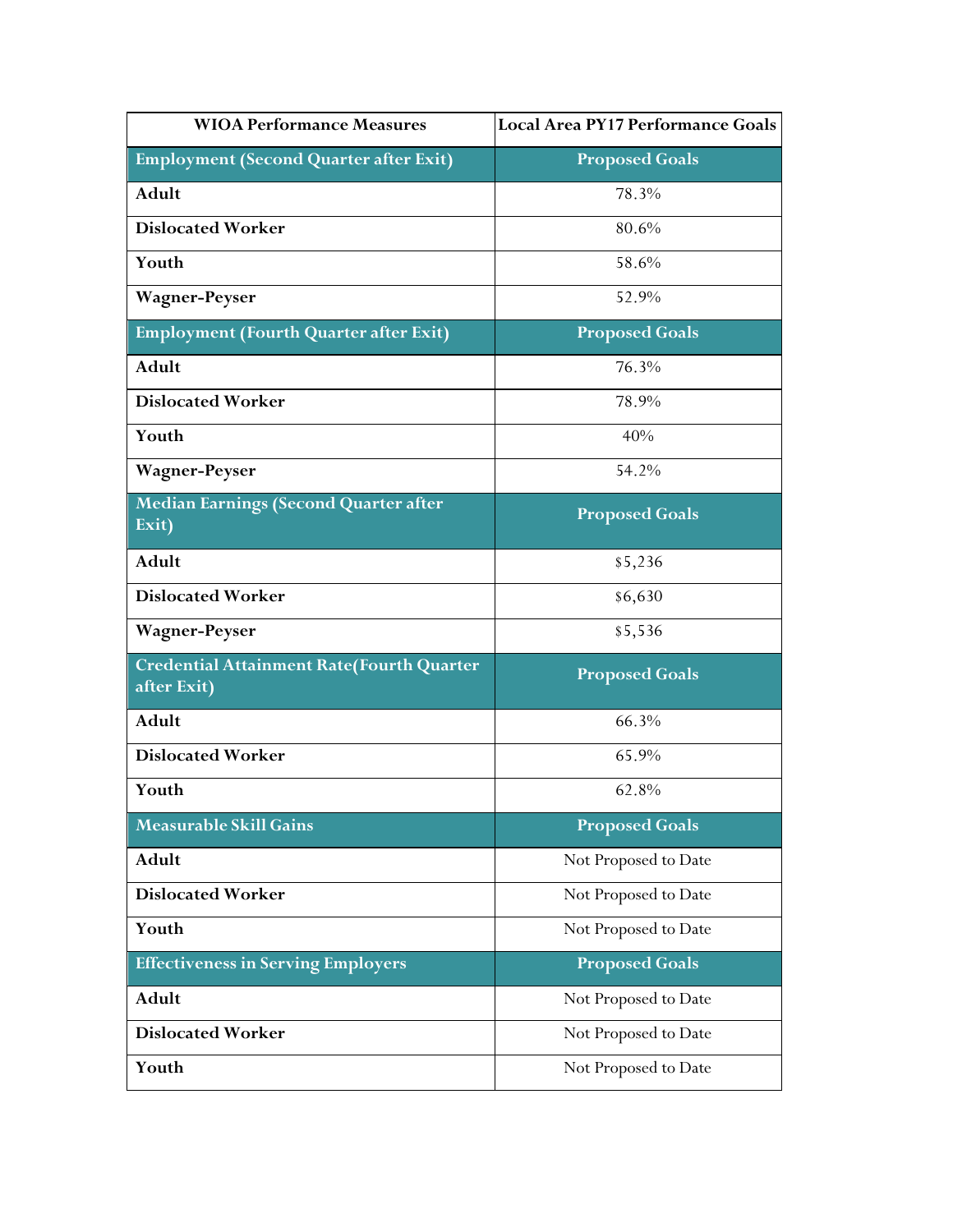| <b>WIOA Performance Measures</b>                                | Local Area PY17 Performance Goals |
|-----------------------------------------------------------------|-----------------------------------|
| <b>Employment (Second Quarter after Exit)</b>                   | <b>Proposed Goals</b>             |
| Adult                                                           | 78.3%                             |
| <b>Dislocated Worker</b>                                        | 80.6%                             |
| Youth                                                           | 58.6%                             |
| <b>Wagner-Peyser</b>                                            | 52.9%                             |
| <b>Employment (Fourth Quarter after Exit)</b>                   | <b>Proposed Goals</b>             |
| Adult                                                           | 76.3%                             |
| <b>Dislocated Worker</b>                                        | 78.9%                             |
| Youth                                                           | 40%                               |
| <b>Wagner-Peyser</b>                                            | 54.2%                             |
| <b>Median Earnings (Second Quarter after</b><br>Exit)           | <b>Proposed Goals</b>             |
| Adult                                                           | \$5,236                           |
| <b>Dislocated Worker</b>                                        | \$6,630                           |
| <b>Wagner-Peyser</b>                                            | \$5,536                           |
| <b>Credential Attainment Rate(Fourth Quarter</b><br>after Exit) | <b>Proposed Goals</b>             |
| Adult                                                           | 66.3%                             |
| <b>Dislocated Worker</b>                                        | 65.9%                             |
| Youth                                                           | 62.8%                             |
| <b>Measurable Skill Gains</b>                                   | <b>Proposed Goals</b>             |
| Adult                                                           | Not Proposed to Date              |
| <b>Dislocated Worker</b>                                        | Not Proposed to Date              |
| Youth                                                           | Not Proposed to Date              |
| <b>Effectiveness in Serving Employers</b>                       | <b>Proposed Goals</b>             |
| Adult                                                           | Not Proposed to Date              |
| <b>Dislocated Worker</b>                                        | Not Proposed to Date              |
| Youth                                                           | Not Proposed to Date              |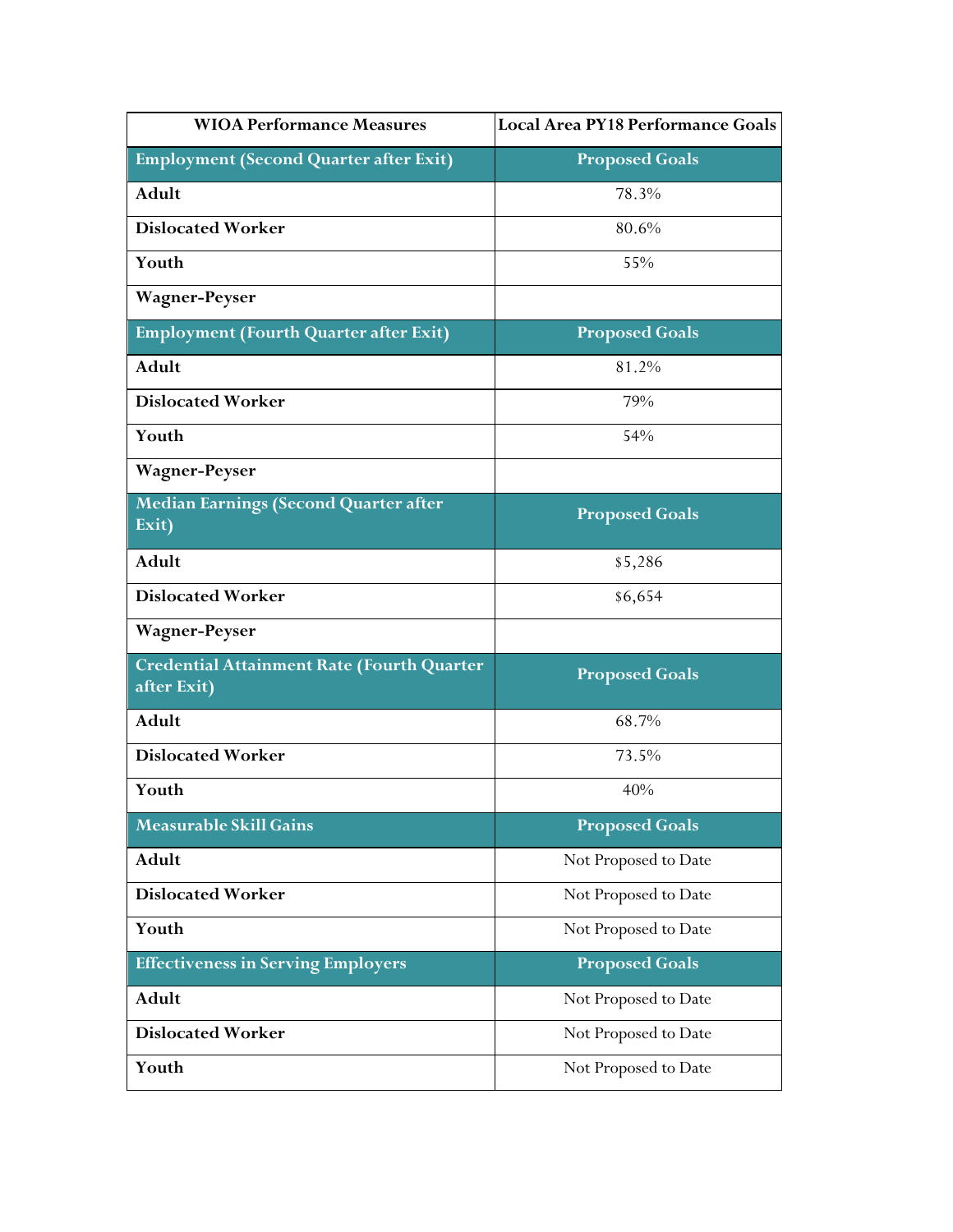| <b>WIOA Performance Measures</b>                          | Local Area PY18 Performance Goals |
|-----------------------------------------------------------|-----------------------------------|
| <b>Employment (Second Quarter after Exit)</b>             | <b>Proposed Goals</b>             |
| Adult                                                     | 78.3%                             |
| <b>Dislocated Worker</b>                                  | 80.6%                             |
| Youth                                                     | 55%                               |
| <b>Wagner-Peyser</b>                                      |                                   |
| <b>Employment (Fourth Quarter after Exit)</b>             | <b>Proposed Goals</b>             |
| Adult                                                     | 81.2%                             |
| <b>Dislocated Worker</b>                                  | 79%                               |
| Youth                                                     | 54%                               |
| <b>Wagner-Peyser</b>                                      |                                   |
| <b>Median Earnings (Second Quarter after</b><br>Exit)     | <b>Proposed Goals</b>             |
| Adult                                                     | \$5,286                           |
| <b>Dislocated Worker</b>                                  | \$6,654                           |
| <b>Wagner-Peyser</b>                                      |                                   |
| Credential Attainment Rate (Fourth Quarter<br>after Exit) | <b>Proposed Goals</b>             |
| Adult                                                     | 68.7%                             |
| <b>Dislocated Worker</b>                                  | 73.5%                             |
| Youth                                                     | 40%                               |
| <b>Measurable Skill Gains</b>                             | <b>Proposed Goals</b>             |
| Adult                                                     | Not Proposed to Date              |
| <b>Dislocated Worker</b>                                  | Not Proposed to Date              |
| Youth                                                     | Not Proposed to Date              |
| <b>Effectiveness in Serving Employers</b>                 | <b>Proposed Goals</b>             |
| Adult                                                     | Not Proposed to Date              |
| <b>Dislocated Worker</b>                                  | Not Proposed to Date              |
| Youth                                                     | Not Proposed to Date              |